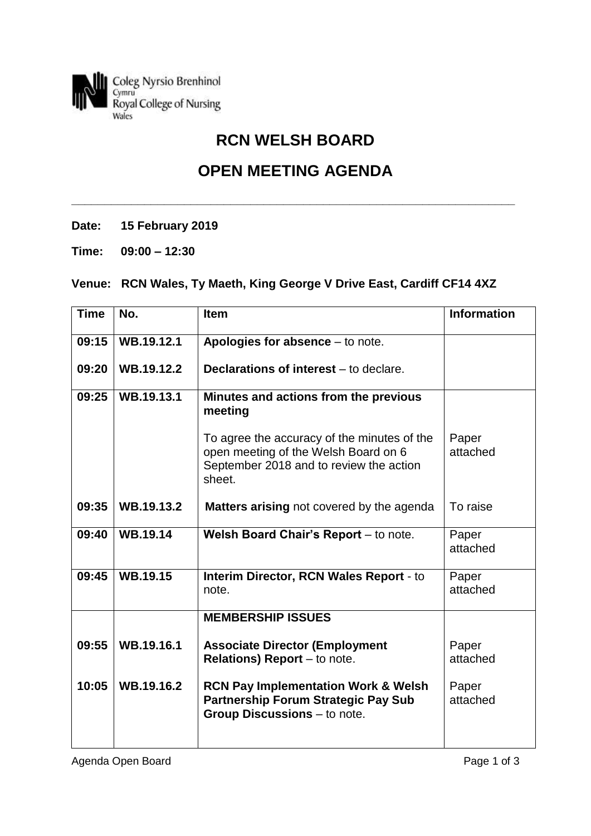

# **RCN WELSH BOARD**

## **OPEN MEETING AGENDA**

**\_\_\_\_\_\_\_\_\_\_\_\_\_\_\_\_\_\_\_\_\_\_\_\_\_\_\_\_\_\_\_\_\_\_\_\_\_\_\_\_\_\_\_\_\_\_\_\_\_\_\_\_\_\_\_\_\_\_\_\_\_\_\_\_\_\_\_**

**Date: 15 February 2019**

**Time: 09:00 – 12:30**

### **Venue: RCN Wales, Ty Maeth, King George V Drive East, Cardiff CF14 4XZ**

| <b>Time</b> | No.             | <b>Item</b>                                                                                                                              | <b>Information</b> |
|-------------|-----------------|------------------------------------------------------------------------------------------------------------------------------------------|--------------------|
| 09:15       | WB.19.12.1      | Apologies for absence - to note.                                                                                                         |                    |
| 09:20       | WB.19.12.2      | Declarations of interest - to declare.                                                                                                   |                    |
| 09:25       | WB.19.13.1      | Minutes and actions from the previous<br>meeting                                                                                         |                    |
|             |                 | To agree the accuracy of the minutes of the<br>open meeting of the Welsh Board on 6<br>September 2018 and to review the action<br>sheet. | Paper<br>attached  |
| 09:35       | WB.19.13.2      | <b>Matters arising</b> not covered by the agenda                                                                                         | To raise           |
| 09:40       | WB.19.14        | Welsh Board Chair's Report - to note.                                                                                                    | Paper<br>attached  |
| 09:45       | <b>WB.19.15</b> | Interim Director, RCN Wales Report - to<br>note.                                                                                         | Paper<br>attached  |
|             |                 | <b>MEMBERSHIP ISSUES</b>                                                                                                                 |                    |
| 09:55       | WB.19.16.1      | <b>Associate Director (Employment</b><br><b>Relations) Report</b> $-$ to note.                                                           | Paper<br>attached  |
| 10:05       | WB.19.16.2      | <b>RCN Pay Implementation Work &amp; Welsh</b><br><b>Partnership Forum Strategic Pay Sub</b><br>Group Discussions - to note.             | Paper<br>attached  |

Agenda Open Board **Page 1 of 3**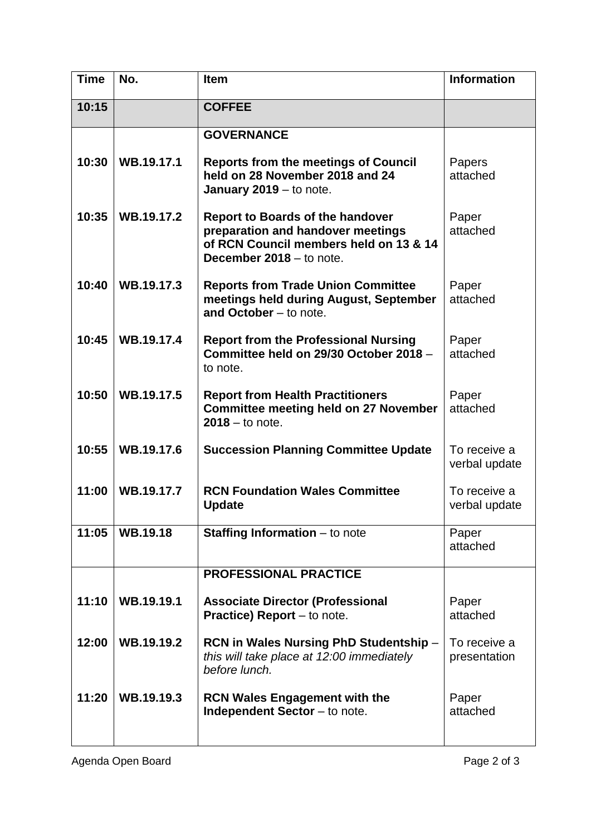| <b>Time</b> | No.             | <b>Item</b>                                                                                                                                        | <b>Information</b>            |
|-------------|-----------------|----------------------------------------------------------------------------------------------------------------------------------------------------|-------------------------------|
| 10:15       |                 | <b>COFFEE</b>                                                                                                                                      |                               |
|             |                 | <b>GOVERNANCE</b>                                                                                                                                  |                               |
| 10:30       | WB.19.17.1      | <b>Reports from the meetings of Council</b><br>held on 28 November 2018 and 24<br>January $2019 -$ to note.                                        | Papers<br>attached            |
| 10:35       | WB.19.17.2      | <b>Report to Boards of the handover</b><br>preparation and handover meetings<br>of RCN Council members held on 13 & 14<br>December 2018 - to note. | Paper<br>attached             |
| 10:40       | WB.19.17.3      | <b>Reports from Trade Union Committee</b><br>meetings held during August, September<br>and October - to note.                                      | Paper<br>attached             |
| 10:45       | WB.19.17.4      | <b>Report from the Professional Nursing</b><br>Committee held on 29/30 October 2018 -<br>to note.                                                  | Paper<br>attached             |
| 10:50       | WB.19.17.5      | <b>Report from Health Practitioners</b><br><b>Committee meeting held on 27 November</b><br>$2018 -$ to note.                                       | Paper<br>attached             |
| 10:55       | WB.19.17.6      | <b>Succession Planning Committee Update</b>                                                                                                        | To receive a<br>verbal update |
| 11:00       | WB.19.17.7      | <b>RCN Foundation Wales Committee</b><br><b>Update</b>                                                                                             | To receive a<br>verbal update |
| 11:05       | <b>WB.19.18</b> | <b>Staffing Information</b> $-$ to note                                                                                                            | Paper<br>attached             |
|             |                 | <b>PROFESSIONAL PRACTICE</b>                                                                                                                       |                               |
| 11:10       | WB.19.19.1      | <b>Associate Director (Professional</b><br><b>Practice) Report</b> – to note.                                                                      | Paper<br>attached             |
| 12:00       | WB.19.19.2      | RCN in Wales Nursing PhD Studentship -<br>this will take place at 12:00 immediately<br>before lunch.                                               | To receive a<br>presentation  |
| 11:20       | WB.19.19.3      | <b>RCN Wales Engagement with the</b><br><b>Independent Sector</b> – to note.                                                                       | Paper<br>attached             |